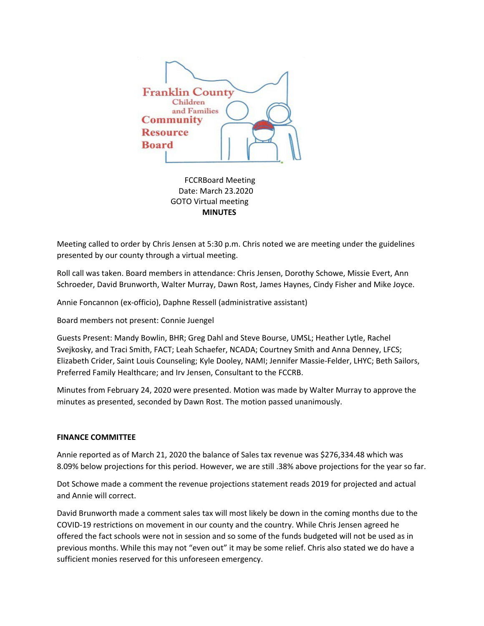

 FCCRBoard Meeting Date: March 23.2020 GOTO Virtual meeting  **MINUTES**

Meeting called to order by Chris Jensen at 5:30 p.m. Chris noted we are meeting under the guidelines presented by our county through a virtual meeting.

Roll call was taken. Board members in attendance: Chris Jensen, Dorothy Schowe, Missie Evert, Ann Schroeder, David Brunworth, Walter Murray, Dawn Rost, James Haynes, Cindy Fisher and Mike Joyce.

Annie Foncannon (ex-officio), Daphne Ressell (administrative assistant)

Board members not present: Connie Juengel

Guests Present: Mandy Bowlin, BHR; Greg Dahl and Steve Bourse, UMSL; Heather Lytle, Rachel Svejkosky, and Traci Smith, FACT; Leah Schaefer, NCADA; Courtney Smith and Anna Denney, LFCS; Elizabeth Crider, Saint Louis Counseling; Kyle Dooley, NAMI; Jennifer Massie-Felder, LHYC; Beth Sailors, Preferred Family Healthcare; and Irv Jensen, Consultant to the FCCRB.

Minutes from February 24, 2020 were presented. Motion was made by Walter Murray to approve the minutes as presented, seconded by Dawn Rost. The motion passed unanimously.

# **FINANCE COMMITTEE**

Annie reported as of March 21, 2020 the balance of Sales tax revenue was \$276,334.48 which was 8.09% below projections for this period. However, we are still .38% above projections for the year so far.

Dot Schowe made a comment the revenue projections statement reads 2019 for projected and actual and Annie will correct.

David Brunworth made a comment sales tax will most likely be down in the coming months due to the COVID-19 restrictions on movement in our county and the country. While Chris Jensen agreed he offered the fact schools were not in session and so some of the funds budgeted will not be used as in previous months. While this may not "even out" it may be some relief. Chris also stated we do have a sufficient monies reserved for this unforeseen emergency.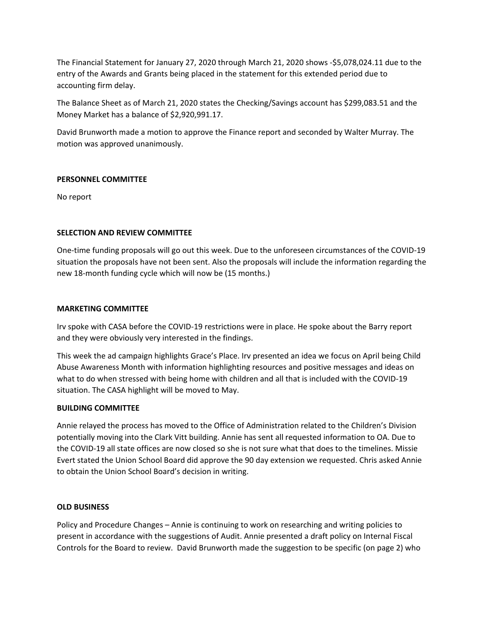The Financial Statement for January 27, 2020 through March 21, 2020 shows -\$5,078,024.11 due to the entry of the Awards and Grants being placed in the statement for this extended period due to accounting firm delay.

The Balance Sheet as of March 21, 2020 states the Checking/Savings account has \$299,083.51 and the Money Market has a balance of \$2,920,991.17.

David Brunworth made a motion to approve the Finance report and seconded by Walter Murray. The motion was approved unanimously.

# **PERSONNEL COMMITTEE**

No report

# **SELECTION AND REVIEW COMMITTEE**

One-time funding proposals will go out this week. Due to the unforeseen circumstances of the COVID-19 situation the proposals have not been sent. Also the proposals will include the information regarding the new 18-month funding cycle which will now be (15 months.)

### **MARKETING COMMITTEE**

Irv spoke with CASA before the COVID-19 restrictions were in place. He spoke about the Barry report and they were obviously very interested in the findings.

This week the ad campaign highlights Grace's Place. Irv presented an idea we focus on April being Child Abuse Awareness Month with information highlighting resources and positive messages and ideas on what to do when stressed with being home with children and all that is included with the COVID-19 situation. The CASA highlight will be moved to May.

### **BUILDING COMMITTEE**

Annie relayed the process has moved to the Office of Administration related to the Children's Division potentially moving into the Clark Vitt building. Annie has sent all requested information to OA. Due to the COVID-19 all state offices are now closed so she is not sure what that does to the timelines. Missie Evert stated the Union School Board did approve the 90 day extension we requested. Chris asked Annie to obtain the Union School Board's decision in writing.

### **OLD BUSINESS**

Policy and Procedure Changes – Annie is continuing to work on researching and writing policies to present in accordance with the suggestions of Audit. Annie presented a draft policy on Internal Fiscal Controls for the Board to review. David Brunworth made the suggestion to be specific (on page 2) who